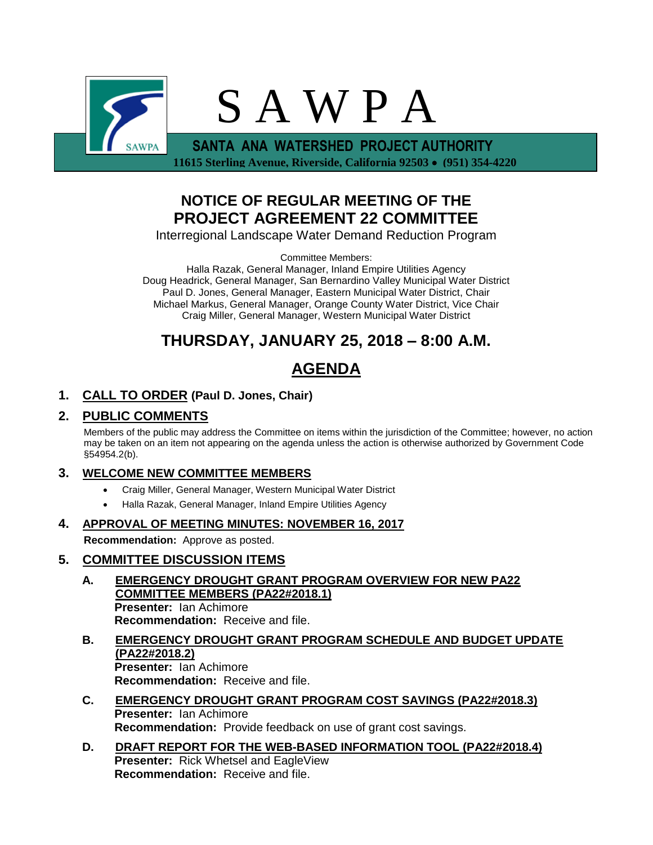

 **11615 Sterling Avenue, Riverside, California 92503 (951) 354-4220**

## **NOTICE OF REGULAR MEETING OF THE PROJECT AGREEMENT 22 COMMITTEE**

Interregional Landscape Water Demand Reduction Program

Committee Members:

Halla Razak, General Manager, Inland Empire Utilities Agency Doug Headrick, General Manager, San Bernardino Valley Municipal Water District Paul D. Jones, General Manager, Eastern Municipal Water District, Chair Michael Markus, General Manager, Orange County Water District, Vice Chair Craig Miller, General Manager, Western Municipal Water District

# **THURSDAY, JANUARY 25, 2018 – 8:00 A.M.**

# **AGENDA**

## **1. CALL TO ORDER (Paul D. Jones, Chair)**

## **2. PUBLIC COMMENTS**

Members of the public may address the Committee on items within the jurisdiction of the Committee; however, no action may be taken on an item not appearing on the agenda unless the action is otherwise authorized by Government Code §54954.2(b).

### **3. WELCOME NEW COMMITTEE MEMBERS**

- Craig Miller, General Manager, Western Municipal Water District
- Halla Razak, General Manager, Inland Empire Utilities Agency

#### **4. APPROVAL OF MEETING MINUTES: NOVEMBER 16, 2017**

**Recommendation:** Approve as posted.

### **5. COMMITTEE DISCUSSION ITEMS**

- **A. EMERGENCY DROUGHT GRANT PROGRAM OVERVIEW FOR NEW PA22 COMMITTEE MEMBERS (PA22#2018.1) Presenter:** Ian Achimore **Recommendation:** Receive and file.
- **B. EMERGENCY DROUGHT GRANT PROGRAM SCHEDULE AND BUDGET UPDATE (PA22#2018.2) Presenter:** Ian Achimore **Recommendation:** Receive and file.
- **C. EMERGENCY DROUGHT GRANT PROGRAM COST SAVINGS (PA22#2018.3) Presenter:** Ian Achimore **Recommendation:** Provide feedback on use of grant cost savings.
- **D. DRAFT REPORT FOR THE WEB-BASED INFORMATION TOOL (PA22#2018.4) Presenter:** Rick Whetsel and EagleView **Recommendation:** Receive and file.